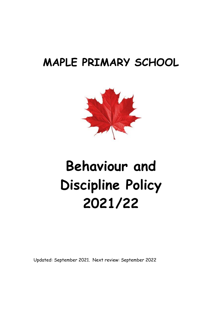# **MAPLE PRIMARY SCHOOL**



# **Behaviour and Discipline Policy 2021/22**

Updated: September 2021. Next review: September 2022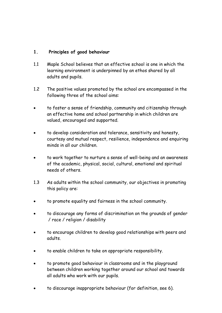## **1. Principles of good behaviour**

- 1.1 Maple School believes that an effective school is one in which the learning environment is underpinned by an ethos shared by all adults and pupils.
- 1.2 The positive values promoted by the school are encompassed in the following three of the school aims:
- to foster a sense of friendship, community and citizenship through an effective home and school partnership in which children are valued, encouraged and supported.
- to develop consideration and tolerance, sensitivity and honesty, courtesy and mutual respect, resilience, independence and enquiring minds in all our children.
- to work together to nurture a sense of well-being and an awareness of the academic, physical, social, cultural, emotional and spiritual needs of others.
- 1.3 As adults within the school community, our objectives in promoting this policy are:
- to promote equality and fairness in the school community.
- to discourage any forms of discrimination on the grounds of gender / race / religion / disability
- to encourage children to develop good relationships with peers and adults.
- to enable children to take on appropriate responsibility.
- to promote good behaviour in classrooms and in the playground between children working together around our school and towards all adults who work with our pupils.
- to discourage inappropriate behaviour (for definition, see 6).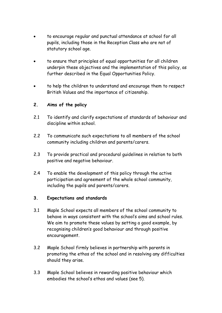- to encourage regular and punctual attendance at school for all pupils, including those in the Reception Class who are not of statutory school age.
- to ensure that principles of equal opportunities for all children underpin these objectives and the implementation of this policy, as further described in the Equal Opportunities Policy.
- to help the children to understand and encourage them to respect British Values and the importance of citizenship.

#### **2. Aims of the policy**

- 2.1 To identify and clarify expectations of standards of behaviour and discipline within school.
- 2.2 To communicate such expectations to all members of the school community including children and parents/carers.
- 2.3 To provide practical and procedural guidelines in relation to both positive and negative behaviour.
- 2.4 To enable the development of this policy through the active participation and agreement of the whole school community, including the pupils and parents/carers.

## **3. Expectations and standards**

- 3.1 Maple School expects all members of the school community to behave in ways consistent with the school's aims and school rules. We aim to promote these values by setting a good example, by recognising children's good behaviour and through positive encouragement.
- 3.2 Maple School firmly believes in partnership with parents in promoting the ethos of the school and in resolving any difficulties should they arise.
- 3.3 Maple School believes in rewarding positive behaviour which embodies the school's ethos and values (see 5).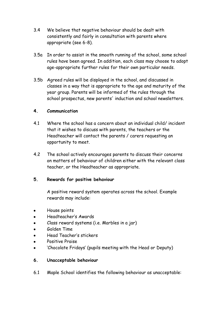- 3.4 We believe that negative behaviour should be dealt with consistently and fairly in consultation with parents where appropriate (see 6-8).
- 3.5a In order to assist in the smooth running of the school, some school rules have been agreed. In addition, each class may choose to adopt age-appropriate further rules for their own particular needs.
- 3.5b Agreed rules will be displayed in the school, and discussed in classes in a way that is appropriate to the age and maturity of the year group. Parents will be informed of the rules through the school prospectus, new parents' induction and school newsletters.

#### **4. Communication**

- 4.1 Where the school has a concern about an individual child/ incident that it wishes to discuss with parents, the teachers or the Headteacher will contact the parents / carers requesting an opportunity to meet.
- 4.2 The school actively encourages parents to discuss their concerns on matters of behaviour of children either with the relevant class teacher, or the Headteacher as appropriate.

## **5. Rewards for positive behaviour**

A positive reward system operates across the school. Example rewards may include:

- House points
- Headteacher's Awards
- Class reward systems (i.e. Marbles in a jar)
- **Golden Time**
- Head Teacher's stickers
- Positive Praise
- 'Chocolate Fridays' (pupils meeting with the Head or Deputy)

#### **6. Unacceptable behaviour**

6.1 Maple School identifies the following behaviour as unacceptable: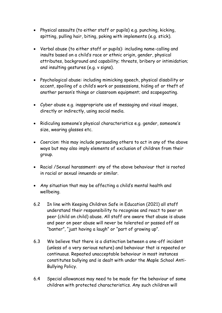- Physical assaults (to either staff or pupils) e.g. punching, kicking, spitting, pulling hair, biting, poking with implements (e.g. stick).
- Verbal abuse (to either staff or pupils): including name-calling and insults based on a child's race or ethnic origin, gender, physical attributes, background and capability; threats, bribery or intimidation; and insulting gestures (e.g. v signs).
- Psychological abuse: including mimicking speech, physical disability or accent, spoiling of a child's work or possessions, hiding of or theft of another person's things or classroom equipment; and scapegoating.
- Cyber abuse e.g. inappropriate use of messaging and visual images, directly or indirectly, using social media.
- Ridiculing someone's physical characteristics e.g. gender, someone's size, wearing glasses etc.
- Coercion: this may include persuading others to act in any of the above ways but may also imply elements of exclusion of children from their group.
- Racial /Sexual harassment: any of the above behaviour that is rooted in racial or sexual innuendo or similar.
- Any situation that may be affecting a child's mental health and wellbeing.
- 6.2 In line with Keeping Children Safe in Education (2021) all staff understand their responsibility to recognise and react to peer on peer (child on child) abuse. All staff are aware that abuse is abuse and peer on peer abuse will never be tolerated or passed off as "banter", "just having a laugh" or "part of growing up".
- 6.3 We believe that there is a distinction between a one-off incident (unless of a very serious nature) and behaviour that is repeated or continuous. Repeated unacceptable behaviour in most instances constitutes bullying and is dealt with under the Maple School Anti-Bullying Policy.
- 6.4 Special allowances may need to be made for the behaviour of some children with protected characteristics. Any such children will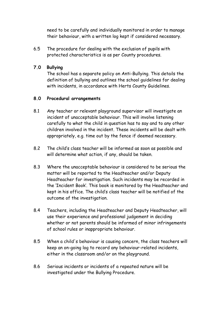need to be carefully and individually monitored in order to manage their behaviour, with a written log kept if considered necessary.

6.5 The procedure for dealing with the exclusion of pupils with protected characteristics is as per County procedures.

#### **7.0 Bullying**

The school has a separate policy on Anti-Bullying. This details the definition of bullying and outlines the school guidelines for dealing with incidents, in accordance with Herts County Guidelines.

#### **8.0 Procedural arrangements**

- 8.1 Any teacher or relevant playground supervisor will investigate an incident of unacceptable behaviour. This will involve listening carefully to what the child in question has to say and to any other children involved in the incident. These incidents will be dealt with appropriately, e.g. time out by the fence if deemed necessary.
- 8.2 The child's class teacher will be informed as soon as possible and will determine what action, if any, should be taken.
- 8.3 Where the unacceptable behaviour is considered to be serious the matter will be reported to the Headteacher and/or Deputy Headteacher for investigation. Such incidents may be recorded in the 'Incident Book'. This book is monitored by the Headteacher and kept in his office. The child's class teacher will be notified of the outcome of the investigation.
- 8.4 Teachers, including the Headteacher and Deputy Headteacher, will use their experience and professional judgement in deciding whether or not parents should be informed of minor infringements of school rules or inappropriate behaviour.
- 8.5 When a child's behaviour is causing concern, the class teachers will keep an on-going log to record any behaviour-related incidents, either in the classroom and/or on the playground.
- 8.6 Serious incidents or incidents of a repeated nature will be investigated under the Bullying Procedure.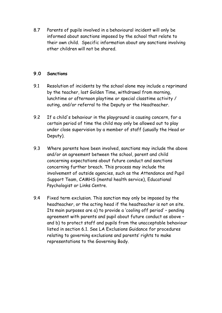8.7 Parents of pupils involved in a behavioural incident will only be informed about sanctions imposed by the school that relate to their own child. Specific information about any sanctions involving other children will not be shared.

#### **9.0 Sanctions**

- 9.1 Resolution of incidents by the school alone may include a reprimand by the teacher, lost Golden Time, withdrawal from morning, lunchtime or afternoon playtime or special classtime activity / outing, and/or referral to the Deputy or the Headteacher.
- 9.2 If a child's behaviour in the playground is causing concern, for a certain period of time the child may only be allowed out to play under close supervision by a member of staff (usually the Head or Deputy).
- 9.3 Where parents have been involved, sanctions may include the above and/or an agreement between the school, parent and child concerning expectations about future conduct and sanctions concerning further breach. This process may include the involvement of outside agencies, such as the Attendance and Pupil Support Team, CAMHS (mental health service), Educational Psychologist or Links Centre.
- 9.4 Fixed term exclusion. This sanction may only be imposed by the headteacher, or the acting head if the headteacher is not on site. Its main purposes are a) to provide a 'cooling off period' – pending agreement with parents and pupil about future conduct as above – and b) to protect staff and pupils from the unacceptable behaviour listed in section 6.1. See LA Exclusions Guidance for procedures relating to governing exclusions and parents' rights to make representations to the Governing Body.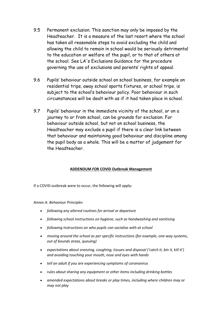- 9.5 Permanent exclusion. This sanction may only be imposed by the Headteacher. It is a measure of the last resort where the school has taken all reasonable steps to avoid excluding the child and allowing the child to remain in school would be seriously detrimental to the education or welfare of the pupil, or to that of others at the school. See LA's Exclusions Guidance for the procedure governing the use of exclusions and parents' rights of appeal.
- 9.6 Pupils' behaviour outside school on school business, for example on residential trips, away school sports fixtures, or school trips, is subject to the school's behaviour policy. Poor behaviour in such circumstances will be dealt with as if it had taken place in school.
- 9.7 Pupils' behaviour in the immediate vicinity of the school, or on a journey to or from school, can be grounds for exclusion. For behaviour outside school, but not on school business, the Headteacher may exclude a pupil if there is a clear link between that behaviour and maintaining good behaviour and discipline among the pupil body as a whole. This will be a matter of judgement for the Headteacher.

#### **ADDENDUM FOR COVID Outbreak Management**

If a COVID outbreak were to occur, the following will apply:

#### *Annex A: Behaviour Principles*

- *following any altered routines for arrival or departure*
- *following school instructions on hygiene, such as handwashing and sanitising*
- *following instructions on who pupils can socialise with at school*
- *moving around the school as per specific instructions (for example, one-way systems, out of bounds areas, queuing)*
- *expectations about sneezing, coughing, tissues and disposal ('catch it, bin it, kill it') and avoiding touching your mouth, nose and eyes with hands*
- *tell an adult if you are experiencing symptoms of coronavirus*
- *rules about sharing any equipment or other items including drinking bottles*
- *amended expectations about breaks or play times, including where children may or may not play*